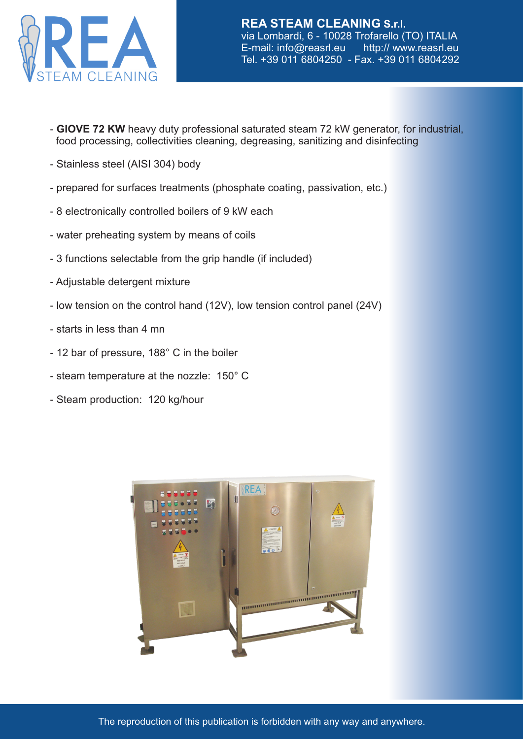

- - **GIOVE 72 KW** heavy duty professional saturated steam 72 kW generator, for industrial, food processing, collectivities cleaning, degreasing, sanitizing and disinfecting
- Stainless steel (AISI 304) body
- prepared for surfaces treatments (phosphate coating, passivation, etc.)
- 8 electronically controlled boilers of 9 kW each
- water preheating system by means of coils
- 3 functions selectable from the grip handle (if included)
- Adjustable detergent mixture
- low tension on the control hand (12V), low tension control panel (24V)
- starts in less than 4 mn
- 12 bar of pressure, 188° C in the boiler
- steam temperature at the nozzle: 150° C
- Steam production: 120 kg/hour